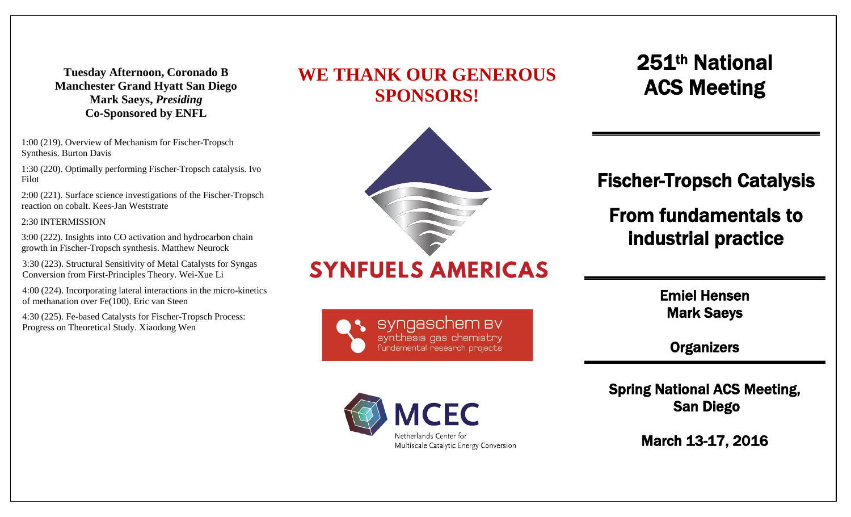**Tuesday Afternoon, Coronado B Manchester Grand Hyatt San Diego Mark Saeys,** *Presiding* **Co-Sponsored by ENFL**

1:00 (219). Overview of Mechanism for Fischer-Tropsch Synthesis. Burton Davis

1:30 (220). Optimally performing Fischer-Tropsch catalysis. Ivo Filot

2:00 (221). Surface science investigations of the Fischer-Tropsch reaction on cobalt. Kees-Jan Weststrate

2:30 INTERMISSION

3:00 (222). Insights into CO activation and hydrocarbon chain growth in Fischer-Tropsch synthesis. Matthew Neurock

3:30 (223). Structural Sensitivity of Metal Catalysts for Syngas Conversion from First-Principles Theory. Wei-Xue Li

4:00 (224). Incorporating lateral interactions in the micro-kinetics of methanation over Fe(100). Eric van Steen

4:30 (225). Fe-based Catalysts for Fischer-Tropsch Process: Progress on Theoretical Study. Xiaodong Wen





# **SYNFUELS AMERICAS**





251th National ACS Meeting

Fischer-Tropsch Catalysis

## From fundamentals to industrial practice

Emiel Hensen Mark Saeys

**Organizers** 

Spring National ACS Meeting, San Diego

March 13-17, 2016